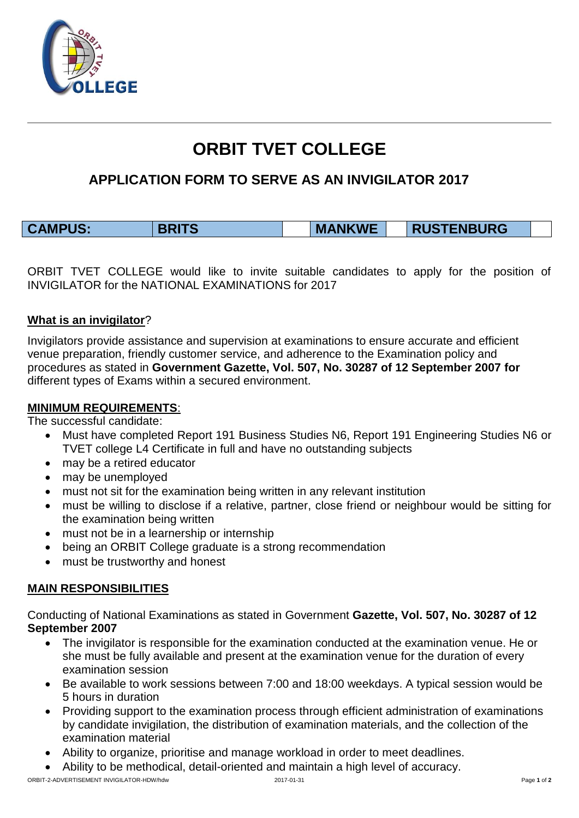

# **ORBIT TVET COLLEGE**

# **APPLICATION FORM TO SERVE AS AN INVIGILATOR 2017**

| <b>CAMPUS:</b><br><b>TENBURG</b><br><b>MANKWE</b><br><b>RUST</b><br>10 |  |  |  |
|------------------------------------------------------------------------|--|--|--|
|------------------------------------------------------------------------|--|--|--|

ORBIT TVET COLLEGE would like to invite suitable candidates to apply for the position of INVIGILATOR for the NATIONAL EXAMINATIONS for 2017

#### **What is an invigilator**?

Invigilators provide assistance and supervision at examinations to ensure accurate and efficient venue preparation, friendly customer service, and adherence to the Examination policy and procedures as stated in **Government Gazette, Vol. 507, No. 30287 of 12 September 2007 for**  different types of Exams within a secured environment.

#### **MINIMUM REQUIREMENTS**:

The successful candidate:

- Must have completed Report 191 Business Studies N6, Report 191 Engineering Studies N6 or TVET college L4 Certificate in full and have no outstanding subjects
- may be a retired educator
- may be unemployed
- must not sit for the examination being written in any relevant institution
- must be willing to disclose if a relative, partner, close friend or neighbour would be sitting for the examination being written
- must not be in a learnership or internship
- being an ORBIT College graduate is a strong recommendation
- must be trustworthy and honest

### **MAIN RESPONSIBILITIES**

Conducting of National Examinations as stated in Government **Gazette, Vol. 507, No. 30287 of 12 September 2007** 

- The invigilator is responsible for the examination conducted at the examination venue. He or she must be fully available and present at the examination venue for the duration of every examination session
- Be available to work sessions between 7:00 and 18:00 weekdays. A typical session would be 5 hours in duration
- Providing support to the examination process through efficient administration of examinations by candidate invigilation, the distribution of examination materials, and the collection of the examination material
- Ability to organize, prioritise and manage workload in order to meet deadlines.
- Ability to be methodical, detail-oriented and maintain a high level of accuracy.